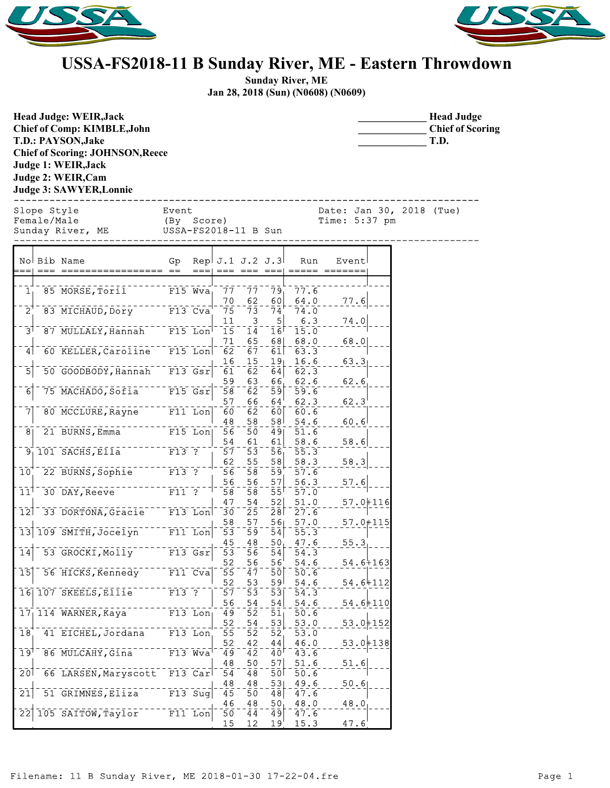



## **USSA-FS2018-11 B Sunday River, ME - Eastern Throwdown**

**Sunday River, ME Jan 28, 2018 (Sun) (N0608) (N0609)**

| <b>Head Judge: WEIR, Jack</b><br>Chief of Comp: KIMBLE, John<br>T.D.: PAYSON, Jake<br><b>Chief of Scoring: JOHNSON, Reece</b><br>Judge 1: WEIR, Jack<br>Judge 2: WEIR, Cam<br><b>Judge 3: SAWYER, Lonnie</b> |                                                            |                                    |                                  |                                    |                     |                                             | <b>Head Judge</b><br><b>Chief of Scoring</b><br>T.D. |
|--------------------------------------------------------------------------------------------------------------------------------------------------------------------------------------------------------------|------------------------------------------------------------|------------------------------------|----------------------------------|------------------------------------|---------------------|---------------------------------------------|------------------------------------------------------|
| Slope Style<br>Female/Male<br>Sunday River, ME                                                                                                                                                               | Event<br>(By Score)<br>USSA-FS2018-11 B Sun                |                                    |                                  |                                    |                     | Date: Jan 30, 2018 (Tue)<br>Time: $5:37$ pm |                                                      |
| No Bib Name                                                                                                                                                                                                  | Gp                                                         | Rep. $J.1$ $J.2$ $J.3$             |                                  |                                    | Run                 | Event                                       |                                                      |
| $\overline{1}$<br>85 MORSE, Toril                                                                                                                                                                            | $F15$ Wva                                                  | $\bar{7}\bar{7}$                   | $\bar{7}\bar{7}$                 | $\bar{79}$                         | 77.6                |                                             |                                                      |
| 83 MICHAUD, Dory<br>2 <sup>1</sup>                                                                                                                                                                           | $F13$ Cva                                                  | 70<br>$\bar{7}5$                   | 62<br>$\bar{7}\bar{3}$           | 60<br>$\bar{7}\bar{4}$             | 64.0<br>74.0        | 77.6                                        |                                                      |
| 87 MULLALY, Hannah                                                                                                                                                                                           | $F15$ Lon                                                  | 11<br>15                           | 3<br>$\bar{1}\bar{4}$            | 5                                  | 6.3<br>15.0         | 74.0                                        |                                                      |
| 3 <sup>1</sup>                                                                                                                                                                                               |                                                            | 71                                 | 65                               | 16 <sup>1</sup><br>68              | 68.0                | 68.0                                        |                                                      |
| 60 KELLER, Caroline F15 Lon<br> 4                                                                                                                                                                            |                                                            | $\bar{6}\bar{2}$                   | 67                               | 61                                 | 63.3                |                                             |                                                      |
| 50 GOODBODY, Hannah F13 Gsr<br>$\overline{5}$                                                                                                                                                                |                                                            | 16<br>61                           | 15<br>$\overline{62}$            | 19 <sub>1</sub><br>$\overline{64}$ | 16.6<br>62.3        | 63.3                                        |                                                      |
|                                                                                                                                                                                                              |                                                            | 59                                 | 63                               | 66                                 | 62.6                | 62.6                                        |                                                      |
| 75 MACHADO, Sofia F15 Gsr<br>$\overline{6}$                                                                                                                                                                  |                                                            | $\bar{5}\bar{8}$<br>57             | $\bar{6}\bar{2}$<br>66           | $\bar{5}9$<br>$64^{\circ}$         | 59.6<br>62.3        | 62.3                                        |                                                      |
| 7<br>80 MCCLURE, Rayne                                                                                                                                                                                       | $F11$ Lon                                                  | 60                                 | $6\overline{2}$                  | 60                                 | 60.6                |                                             |                                                      |
| 21 BURNS, Emma<br>8 <sub>1</sub>                                                                                                                                                                             | $F15$ Lon                                                  | 48<br>56                           | 58<br>$\overline{50}$            | 58 <sup>1</sup><br>$\overline{49}$ | 54.6<br>51.6        | 60.6                                        |                                                      |
|                                                                                                                                                                                                              |                                                            | 54                                 | 61                               | 61                                 | 58.6                | 58.6                                        |                                                      |
| $9^{\degree}$ 101 SACHS, Ella <sup>--------</sup> F13 ?                                                                                                                                                      |                                                            | 57                                 | $\overline{53}$                  | $\bar{5}\bar{6}$                   | $\bar{5}\bar{5}$ .3 |                                             |                                                      |
| 22 BURNS, Sophie F13 ?<br>10                                                                                                                                                                                 |                                                            | 62<br>56                           | 55<br>$\overline{58}$            | 58<br>$\bar{59}$                   | 58.3<br>57.6        | 58.3                                        |                                                      |
|                                                                                                                                                                                                              |                                                            | 56                                 | 56                               | 57                                 | 56.3                | 57.6                                        |                                                      |
| 30 DAY, Reeve<br>11 <sup>1</sup>                                                                                                                                                                             | $\begin{array}{c}\n-\text{F1} \\ \text{F1} \\ \end{array}$ | 58                                 | $\overline{58}$                  | $\bar{5}\bar{5}$                   | 57.0                |                                             |                                                      |
| 33 DORTONA, Gracie F13 Lon<br>12                                                                                                                                                                             |                                                            | 47<br>30                           | 54<br>$\bar{2}\bar{5}$           | 52 <br>$2\bar{8}$                  | 51.0<br>27.6        | $57.0 + 116$                                |                                                      |
|                                                                                                                                                                                                              |                                                            | 58                                 | 57                               | 56                                 | 57.0                | $57.0 + 115$                                |                                                      |
| 13 109 SMITH, Jocelyn                                                                                                                                                                                        | $F11$ Lon                                                  | $\overline{53}$<br>45              | $\bar{5}\bar{9}$<br>48           | $\overline{54}$<br>50 <sub>1</sub> | 55.3<br>47.6        | 55.3                                        |                                                      |
| 53 GROCKI, Molly<br>$\overline{14}$                                                                                                                                                                          | $F13$ $Gsr$                                                | $\overline{53}$                    | $\bar{56}$                       | 54                                 | 54.3                |                                             |                                                      |
| 56 HICKS, Kennedy F11 Cva<br>15                                                                                                                                                                              |                                                            | 52<br>55                           | 56<br>$\overline{4}\overline{7}$ | 56                                 | 54.6<br>50.6        | $54.6 + 163$                                |                                                      |
|                                                                                                                                                                                                              |                                                            | 52                                 | 53                               | 50<br>59 <sup>1</sup>              | 54.6                | $54.6 + 112$                                |                                                      |
| 16 107 SKEELS, Ellie F13 ?                                                                                                                                                                                   |                                                            | 57                                 | $\overline{53}$                  | 53                                 | 54.3                |                                             |                                                      |
| $171114$ WARNER, Kaya                                                                                                                                                                                        | $F13$ Lon                                                  | 56<br>49                           | 54<br>52                         | 54 <br>51 <sub>1</sub>             | 54.6<br>50.6        | $54.6 + 110$                                |                                                      |
|                                                                                                                                                                                                              |                                                            | 52                                 | 54                               | 53                                 | 53.0                | $53.0 + 152$                                |                                                      |
| 41 EICHEL, Jordana<br>$\overline{18}$                                                                                                                                                                        | $F13$ Lon                                                  | 55                                 | $\overline{52}$                  | $\bar{5}\bar{2}$                   | 53.0                |                                             |                                                      |
| 86 MULCAHY, Gina<br>$\overline{1}9$ <sup><math>\overline{1}</math></sup>                                                                                                                                     | $-$ - $  F13$ Wva                                          | 52<br>49                           | 42<br>$\overline{42}$            | 44 <br>$\bar{4}\bar{0}^\dagger$    | 46.0<br>43.6        | $53.0 + 138$                                |                                                      |
|                                                                                                                                                                                                              |                                                            | 48                                 | 50                               | 57                                 | 51.6                | 51.6                                        |                                                      |
| 66 LARSEN, Maryscott F13 Car<br>$\overline{20}$                                                                                                                                                              |                                                            | 54<br>48                           | $\overline{48}$<br>48            | $\overline{50}$<br>531             | 50.6<br>49.6        | 50.6                                        |                                                      |
| 51 GRIMNES, Eliza<br>$\overline{21}$                                                                                                                                                                         | $F13$ Suq                                                  | 45                                 | 50                               | 48                                 | 47.6                |                                             |                                                      |
| 105 SAITOW, Taylor<br>$\overline{22}$                                                                                                                                                                        | $F11$ Lon                                                  | 46                                 | 48                               | 50 <sub>1</sub>                    | 48.0                | 48.0                                        |                                                      |
|                                                                                                                                                                                                              |                                                            | $\overline{50}$<br>15 <sub>1</sub> | $\overline{44}$<br>12            | $\overline{49}$<br>19 <sup>1</sup> | 47.6<br><u>15.3</u> | 47.6                                        |                                                      |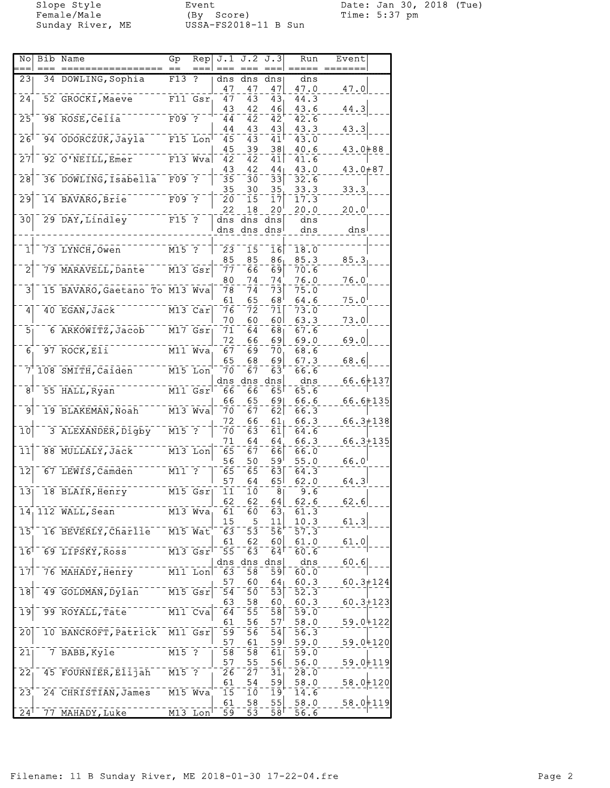Female/Male (By Score) Time: 5:37 pm Sunday River, ME USSA-FS2018-11 B Sun

Slope Style Event Date: Jan 30, 2018 (Tue)

| No                         | <b>Bib Name</b>                    | Gp                   | Rep         | J.1             | J.2                        | J.3                        | Run  | Event          |  |
|----------------------------|------------------------------------|----------------------|-------------|-----------------|----------------------------|----------------------------|------|----------------|--|
|                            |                                    |                      |             |                 |                            |                            |      |                |  |
| 23                         | 34 DOWLING, Sophia                 | F13                  | ?           | dns             | dns                        | dns                        | dns  |                |  |
|                            |                                    |                      |             | 47              | 47                         | 47                         | 47.0 | 47.0           |  |
| $\overline{24}$            | 52 GROCKI, Maeve                   |                      | F11 Gsr     | 47              | 43                         | 43                         | 44.3 |                |  |
|                            |                                    |                      |             | 43              | 42                         | 46                         | 43.6 | 44.3           |  |
| $\overline{25}$            | 98 ROSE, Celia                     | $F09$ ?              |             | 44              | 42                         | 42                         | 42.6 |                |  |
|                            |                                    |                      |             | 44              | 43                         | 43                         | 43.3 | 43.3           |  |
| $\overline{26}$            | 94 ODORCZUK, Jayla                 |                      | $F15$ Lon   | 45              | $\overline{4}3$            | 41                         | 43.0 |                |  |
|                            |                                    |                      |             | 45              | 39                         | 38                         | 40.6 | 43.0+88        |  |
| 27                         | 92 O'NEILL, Emer                   |                      | $F13$ Wva   | 42              | 42                         | 41                         | 41.6 |                |  |
|                            |                                    |                      |             | 43              | 42                         | 44                         | 43.0 | $43.0 + 87$    |  |
| $\overline{28}$            | 36 DOWLING, Isabella <sup>--</sup> | $F09$ ?              |             | 35              | зō                         | $\bar{3}\bar{3}$           | 32.6 |                |  |
|                            |                                    |                      |             | 35              | 30                         | 35                         | 33.3 | 33.3           |  |
| $\overline{29}$            | 14 BAVARO, Brie                    | $F09$ ?              |             | 20              | 15                         | 17                         | 17.3 |                |  |
|                            |                                    |                      |             | 22              | 18                         | 20                         | 20.0 | $20.0^{\circ}$ |  |
| 30                         | 29 DAY, Lindley                    | $F15$ ?              |             | dns             |                            | dns dns                    | dns  |                |  |
|                            |                                    |                      |             |                 | dns dns dns                |                            | dns  | dns            |  |
|                            |                                    |                      |             |                 |                            |                            |      |                |  |
| $\mathbf{1}$               | 73 LYNCH, Owen                     |                      |             |                 |                            |                            |      |                |  |
|                            |                                    | $M15$ ?              |             | 23              | 15                         | 16                         | 18.0 |                |  |
|                            |                                    |                      |             | 85              | 85                         | 86 <sub>1</sub>            | 85.3 | 85.3           |  |
| $\bar{2}$                  | 79 MARAVELL, Dante                 |                      | $M13$ $Gsr$ | 77              | <u>δ</u> δ                 | $\overline{69}$            | 70.6 |                |  |
|                            |                                    |                      |             | 80              | 74                         | 74                         | 76.0 | 76.0           |  |
| 3                          | 15 BAVARO, Gaetano To M13 Wya      |                      |             | 78              | 74                         | $\bar{7}\bar{3}$           | 75.0 |                |  |
|                            |                                    |                      |             | 61              | 65                         | 68                         | 64.6 | $75.0^{\circ}$ |  |
| 4                          | 40 EGAN, Jack                      |                      | M13 Car     | 76              | 72                         | 71                         | 73.0 |                |  |
|                            |                                    |                      |             | 70              | 60                         | 60 <sup>1</sup>            | 63.3 | 73.0           |  |
| $\overline{5}$             | 6 ARKOWITZ, Jacob                  |                      | $M17$ $Gsr$ | 71              | 64                         | 68                         | 67.6 |                |  |
|                            |                                    |                      |             | 72              | 66                         | 69                         | 69.0 | 69.0           |  |
| 6.                         | 97 ROCK, EII                       |                      | M11 Wva     |                 | 69                         | 70                         | 68.6 |                |  |
|                            |                                    |                      |             | 67              |                            |                            |      |                |  |
|                            |                                    |                      |             | 65              | 68                         | 69                         | 67.3 | 68.6           |  |
| 7'                         | 108 SMITH, Caiden                  |                      | M15 Lon     | 70              | 67                         | 63                         | 66.6 |                |  |
|                            |                                    |                      |             |                 | dns dns                    | dns                        | dns  | $66.6 + 137$   |  |
| $\overline{8}$             | 55 HALL, Ryan                      |                      | M11 Gsr     | 66              | 66                         | 65!                        | 65.6 |                |  |
|                            |                                    |                      |             | 66              | 65                         | 691                        | 66.6 | $66.6 + 135$   |  |
| تو                         | 19 BLAKEMAN, Noah                  |                      | $M13$ Wva   | 70              | 67                         | 62                         | 66.3 |                |  |
|                            |                                    |                      |             | 72              | 66                         | 61 <sub>1</sub>            | 66.3 | $66.3 + 138$   |  |
| $\overline{10}$            | 3 ALEXANDER, Digby                 | $M15$ ?              |             | 70              | $\bar{6}\bar{3}$           | $6\overline{1}$            | 64.6 |                |  |
|                            |                                    |                      |             | 71              | 64                         | 64                         | 66.3 | $66.3 + 135$   |  |
| $\bar{1}\bar{1}$           | 88 MULLALY, Jack                   |                      | M13 Lon     | 65              | 67                         | 66                         | 66.0 |                |  |
|                            |                                    |                      |             | 56              | 50                         | 59                         | 55.0 | $66.0^{\circ}$ |  |
| $\overline{12}$            | 67 LEWIS, Camden                   | $M11$ ?              |             | 65              | 65                         | 63                         | 64.3 |                |  |
|                            |                                    |                      |             |                 |                            |                            |      |                |  |
|                            |                                    |                      |             | 57              | 64                         | 65                         | 62.0 | 64.3           |  |
| $\overline{13}$            | 18 BLAIR, Henry                    |                      | M15 Gsr     | 11              | 10                         | 8 <sub>1</sub>             | 9.6  |                |  |
|                            |                                    |                      |             | 62              | 62                         | 64                         | 62.6 | 62.6           |  |
|                            | $14$ , 112 WALL, Sean              |                      | M13 Wva     | 61              | 60                         | 63 <sub>1</sub>            | 61.3 |                |  |
|                            |                                    |                      |             | 15              | 5                          | 11                         | 10.3 | 61.3           |  |
| $\overline{15}$            | 16 BEVERLY, Charlie                | $\overline{M15}$ Wat |             | 63              | $\overline{5}\overline{3}$ | $\bar{56}$                 | 57.3 |                |  |
|                            |                                    |                      |             | 61              | 62                         | 60                         | 61.0 | 61.0           |  |
| 16                         | 69 LIPSKY, Ross                    |                      | $M13$ $Gsr$ | 55              | 63                         | 64 <sup>1</sup>            | 60.6 |                |  |
|                            |                                    |                      |             |                 | dns dns                    | dns                        | dns  | 60.6           |  |
| $\overline{17}$            | 76 MAHADY, Henry                   |                      | $M11$ Lon   | 63              | 58                         | 59                         | 60.0 |                |  |
|                            |                                    |                      |             | 57              | 60                         | 64                         | 60.3 | $60.3 + 124$   |  |
| $\overline{18}$            | 49 GOLDMAN, Dylan                  |                      | $M15$ $Gsr$ | $5\bar{4}$      | 50                         | 53                         | 52.3 |                |  |
|                            |                                    |                      |             |                 |                            |                            |      |                |  |
|                            |                                    |                      |             | 63              | 58                         | 60                         | 60.3 | $60.3 + 123$   |  |
| $\overline{19}$            | 99 ROYALL, Tate                    |                      | $M11$ Cva   | 64              | 55                         | $\overline{58}$            | 59.0 |                |  |
|                            |                                    |                      |             | 61              | 56                         | 57 <sup>1</sup>            | 58.0 | 59.0+122       |  |
| $\overline{20}$            | 10 BANCROFT, Patrick               |                      | M11 Gsr     | 59              | 56                         | $\overline{54}$            | 56.3 |                |  |
|                            |                                    |                      |             | 57              | 61                         | او 5                       | 59.0 | $59.0 + 120$   |  |
| $\overline{21}$            | 7 BABB, Kyle                       | $\overline{M15}$ ?   |             | 58              | $\bar{5}\bar{8}$           | 61                         | 59.0 |                |  |
|                            |                                    |                      |             | 57              | 55                         | 56                         | 56.0 | $59.0 + 119$   |  |
| $\overline{2}\overline{2}$ | 45 FOURNIER, Elijah                | $M15$ ?              |             | 26              | 27                         | $\bar{3}\bar{1}$           | 28.0 |                |  |
|                            |                                    |                      |             | 61              | 54                         | 59                         | 58.0 | $58.0 + 120$   |  |
| $\overline{2}3$            | 24 CHRISTIAN, James                |                      | $M15$ $Wva$ | 15              | 10                         | $\overline{1}\overline{9}$ | 14.6 |                |  |
|                            |                                    |                      |             |                 |                            |                            |      |                |  |
|                            |                                    |                      |             | 61              | 58                         | $\frac{55}{2}$             | 58.0 | $58.0 + 119$   |  |
| $24^{\dagger}$             | 77 MAHADY, Luke                    |                      | $M13$ Lon   | $\overline{59}$ | $\bar{5}\bar{3}$           | $\bar{5}\bar{8}^{\dagger}$ | 56.6 |                |  |